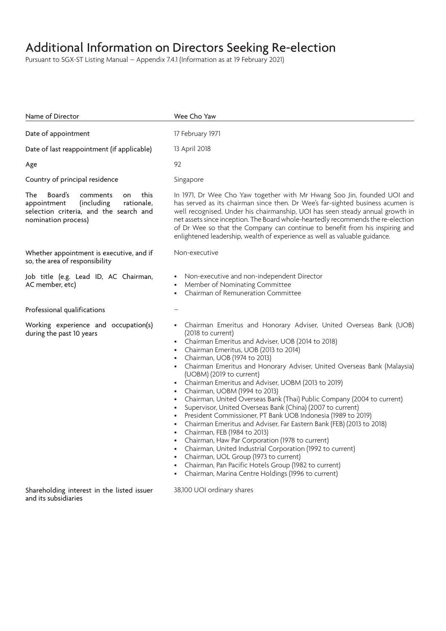Pursuant to SGX-ST Listing Manual – Appendix 7.4.1 (Information as at 19 February 2021)

| Name of Director                                                                                                                                      | Wee Cho Yaw                                                                                                                                                                                                                                                                                                                                                                                                                                                                                                                                                                                                                                                                                                                                                                                                                                                                                                                                                                                                               |
|-------------------------------------------------------------------------------------------------------------------------------------------------------|---------------------------------------------------------------------------------------------------------------------------------------------------------------------------------------------------------------------------------------------------------------------------------------------------------------------------------------------------------------------------------------------------------------------------------------------------------------------------------------------------------------------------------------------------------------------------------------------------------------------------------------------------------------------------------------------------------------------------------------------------------------------------------------------------------------------------------------------------------------------------------------------------------------------------------------------------------------------------------------------------------------------------|
| Date of appointment                                                                                                                                   | 17 February 1971                                                                                                                                                                                                                                                                                                                                                                                                                                                                                                                                                                                                                                                                                                                                                                                                                                                                                                                                                                                                          |
| Date of last reappointment (if applicable)                                                                                                            | 13 April 2018                                                                                                                                                                                                                                                                                                                                                                                                                                                                                                                                                                                                                                                                                                                                                                                                                                                                                                                                                                                                             |
| Age                                                                                                                                                   | 92                                                                                                                                                                                                                                                                                                                                                                                                                                                                                                                                                                                                                                                                                                                                                                                                                                                                                                                                                                                                                        |
| Country of principal residence                                                                                                                        | Singapore                                                                                                                                                                                                                                                                                                                                                                                                                                                                                                                                                                                                                                                                                                                                                                                                                                                                                                                                                                                                                 |
| Board's<br>The<br>this<br>comments<br>on<br>appointment<br>(including)<br>rationale,<br>selection criteria, and the search and<br>nomination process) | In 1971, Dr Wee Cho Yaw together with Mr Hwang Soo Jin, founded UOI and<br>has served as its chairman since then. Dr Wee's far-sighted business acumen is<br>well recognised. Under his chairmanship, UOI has seen steady annual growth in<br>net assets since inception. The Board whole-heartedly recommends the re-election<br>of Dr Wee so that the Company can continue to benefit from his inspiring and<br>enlightened leadership, wealth of experience as well as valuable guidance.                                                                                                                                                                                                                                                                                                                                                                                                                                                                                                                              |
| Whether appointment is executive, and if<br>so, the area of responsibility                                                                            | Non-executive                                                                                                                                                                                                                                                                                                                                                                                                                                                                                                                                                                                                                                                                                                                                                                                                                                                                                                                                                                                                             |
| Job title (e.g. Lead ID, AC Chairman,<br>AC member, etc)                                                                                              | • Non-executive and non-independent Director<br>Member of Nominating Committee<br>Chairman of Remuneration Committee                                                                                                                                                                                                                                                                                                                                                                                                                                                                                                                                                                                                                                                                                                                                                                                                                                                                                                      |
| Professional qualifications                                                                                                                           |                                                                                                                                                                                                                                                                                                                                                                                                                                                                                                                                                                                                                                                                                                                                                                                                                                                                                                                                                                                                                           |
| Working experience and occupation(s)<br>during the past 10 years                                                                                      | Chairman Emeritus and Honorary Adviser, United Overseas Bank (UOB)<br>(2018 to current)<br>Chairman Emeritus and Adviser, UOB (2014 to 2018)<br>Chairman Emeritus, UOB (2013 to 2014)<br>Chairman, UOB (1974 to 2013)<br>Chairman Emeritus and Honorary Adviser, United Overseas Bank (Malaysia)<br>$\bullet$<br>(UOBM) (2019 to current)<br>• Chairman Emeritus and Adviser, UOBM (2013 to 2019)<br>Chairman, UOBM (1994 to 2013)<br>Chairman, United Overseas Bank (Thai) Public Company (2004 to current)<br>Supervisor, United Overseas Bank (China) (2007 to current)<br>President Commissioner, PT Bank UOB Indonesia (1989 to 2019)<br>Chairman Emeritus and Adviser, Far Eastern Bank (FEB) (2013 to 2018)<br>Chairman, FEB (1984 to 2013)<br>Chairman, Haw Par Corporation (1978 to current)<br>Chairman, United Industrial Corporation (1992 to current)<br>Chairman, UOL Group (1973 to current)<br>Chairman, Pan Pacific Hotels Group (1982 to current)<br>Chairman, Marina Centre Holdings (1996 to current) |
| Shareholding interest in the listed issuer<br>and its subsidiaries                                                                                    | 38,100 UOI ordinary shares                                                                                                                                                                                                                                                                                                                                                                                                                                                                                                                                                                                                                                                                                                                                                                                                                                                                                                                                                                                                |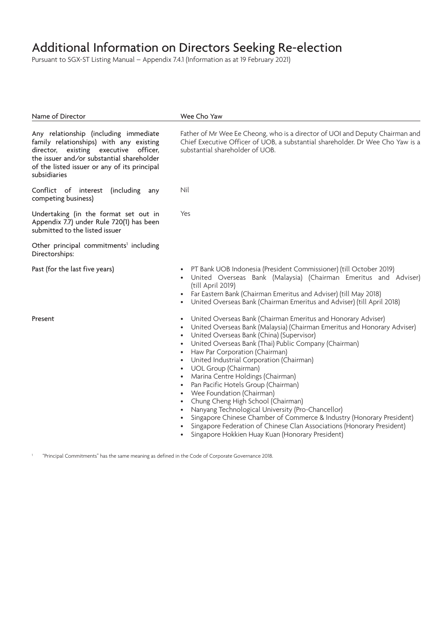Pursuant to SGX-ST Listing Manual – Appendix 7.4.1 (Information as at 19 February 2021)

| Name of Director                                                                                                                                                                                                                       | Wee Cho Yaw                                                                                                                                                                                                                                                                                                                                                                                                                                                                                                                                                                                                                                                                                                                                                      |
|----------------------------------------------------------------------------------------------------------------------------------------------------------------------------------------------------------------------------------------|------------------------------------------------------------------------------------------------------------------------------------------------------------------------------------------------------------------------------------------------------------------------------------------------------------------------------------------------------------------------------------------------------------------------------------------------------------------------------------------------------------------------------------------------------------------------------------------------------------------------------------------------------------------------------------------------------------------------------------------------------------------|
| Any relationship (including immediate<br>family relationships) with any existing<br>director, existing executive officer,<br>the issuer and/or substantial shareholder<br>of the listed issuer or any of its principal<br>subsidiaries | Father of Mr Wee Ee Cheong, who is a director of UOI and Deputy Chairman and<br>Chief Executive Officer of UOB, a substantial shareholder. Dr Wee Cho Yaw is a<br>substantial shareholder of UOB.                                                                                                                                                                                                                                                                                                                                                                                                                                                                                                                                                                |
| Conflict of interest (including<br>any<br>competing business)                                                                                                                                                                          | Nil                                                                                                                                                                                                                                                                                                                                                                                                                                                                                                                                                                                                                                                                                                                                                              |
| Undertaking (in the format set out in<br>Appendix 7.7) under Rule 720(1) has been<br>submitted to the listed issuer                                                                                                                    | Yes                                                                                                                                                                                                                                                                                                                                                                                                                                                                                                                                                                                                                                                                                                                                                              |
| Other principal commitments <sup>1</sup> including<br>Directorships:                                                                                                                                                                   |                                                                                                                                                                                                                                                                                                                                                                                                                                                                                                                                                                                                                                                                                                                                                                  |
| Past (for the last five years)                                                                                                                                                                                                         | PT Bank UOB Indonesia (President Commissioner) (till October 2019)<br>United Overseas Bank (Malaysia) (Chairman Emeritus and Adviser)<br>(till April 2019)<br>Far Eastern Bank (Chairman Emeritus and Adviser) (till May 2018)<br>United Overseas Bank (Chairman Emeritus and Adviser) (till April 2018)                                                                                                                                                                                                                                                                                                                                                                                                                                                         |
| Present                                                                                                                                                                                                                                | United Overseas Bank (Chairman Emeritus and Honorary Adviser)<br>United Overseas Bank (Malaysia) (Chairman Emeritus and Honorary Adviser)<br>United Overseas Bank (China) (Supervisor)<br>United Overseas Bank (Thai) Public Company (Chairman)<br>Haw Par Corporation (Chairman)<br>United Industrial Corporation (Chairman)<br>UOL Group (Chairman)<br>Marina Centre Holdings (Chairman)<br>Pan Pacific Hotels Group (Chairman)<br>Wee Foundation (Chairman)<br>Chung Cheng High School (Chairman)<br>Nanyang Technological University (Pro-Chancellor)<br>Singapore Chinese Chamber of Commerce & Industry (Honorary President)<br>Singapore Federation of Chinese Clan Associations (Honorary President)<br>Singapore Hokkien Huay Kuan (Honorary President) |
| "Principal Commitments" has the same meaning as defined in the Code of Corporate Governance 2018.                                                                                                                                      |                                                                                                                                                                                                                                                                                                                                                                                                                                                                                                                                                                                                                                                                                                                                                                  |
|                                                                                                                                                                                                                                        |                                                                                                                                                                                                                                                                                                                                                                                                                                                                                                                                                                                                                                                                                                                                                                  |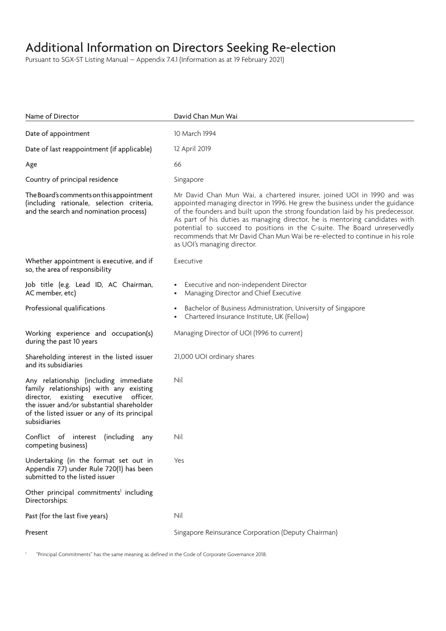Pursuant to SGX-ST Listing Manual – Appendix 7.4.1 (Information as at 19 February 2021)

| Name of Director                                                                                                                                                                                                                          | David Chan Mun Wai                                                                                                                                                                                                                                                                                                                                                                                                                                                                                               |
|-------------------------------------------------------------------------------------------------------------------------------------------------------------------------------------------------------------------------------------------|------------------------------------------------------------------------------------------------------------------------------------------------------------------------------------------------------------------------------------------------------------------------------------------------------------------------------------------------------------------------------------------------------------------------------------------------------------------------------------------------------------------|
| Date of appointment                                                                                                                                                                                                                       | 10 March 1994                                                                                                                                                                                                                                                                                                                                                                                                                                                                                                    |
| Date of last reappointment (if applicable)                                                                                                                                                                                                | 12 April 2019                                                                                                                                                                                                                                                                                                                                                                                                                                                                                                    |
| Age                                                                                                                                                                                                                                       | 66                                                                                                                                                                                                                                                                                                                                                                                                                                                                                                               |
| Country of principal residence                                                                                                                                                                                                            | Singapore                                                                                                                                                                                                                                                                                                                                                                                                                                                                                                        |
| The Board's comments on this appointment<br>(including rationale, selection criteria,<br>and the search and nomination process)                                                                                                           | Mr David Chan Mun Wai, a chartered insurer, joined UOI in 1990 and was<br>appointed managing director in 1996. He grew the business under the guidance<br>of the founders and built upon the strong foundation laid by his predecessor.<br>As part of his duties as managing director, he is mentoring candidates with<br>potential to succeed to positions in the C-suite. The Board unreservedly<br>recommends that Mr David Chan Mun Wai be re-elected to continue in his role<br>as UOI's managing director. |
| Whether appointment is executive, and if<br>so, the area of responsibility                                                                                                                                                                | Executive                                                                                                                                                                                                                                                                                                                                                                                                                                                                                                        |
| Job title (e.g. Lead ID, AC Chairman,<br>AC member, etc)                                                                                                                                                                                  | Executive and non-independent Director<br>Managing Director and Chief Executive                                                                                                                                                                                                                                                                                                                                                                                                                                  |
| Professional qualifications                                                                                                                                                                                                               | Bachelor of Business Administration, University of Singapore<br>Chartered Insurance Institute, UK (Fellow)                                                                                                                                                                                                                                                                                                                                                                                                       |
| Working experience and occupation(s)<br>during the past 10 years                                                                                                                                                                          | Managing Director of UOI (1996 to current)                                                                                                                                                                                                                                                                                                                                                                                                                                                                       |
| Shareholding interest in the listed issuer<br>and its subsidiaries                                                                                                                                                                        | 21,000 UOI ordinary shares                                                                                                                                                                                                                                                                                                                                                                                                                                                                                       |
| Any relationship (including immediate<br>family relationships) with any existing<br>director, existing executive<br>officer,<br>the issuer and/or substantial shareholder<br>of the listed issuer or any of its principal<br>subsidiaries | Nil                                                                                                                                                                                                                                                                                                                                                                                                                                                                                                              |
| Conflict of interest (including<br>any<br>competing business)                                                                                                                                                                             | Nil                                                                                                                                                                                                                                                                                                                                                                                                                                                                                                              |
| Undertaking (in the format set out in<br>Appendix 7.7) under Rule 720(1) has been<br>submitted to the listed issuer                                                                                                                       | Yes                                                                                                                                                                                                                                                                                                                                                                                                                                                                                                              |
| Other principal commitments <sup>1</sup> including<br>Directorships:                                                                                                                                                                      |                                                                                                                                                                                                                                                                                                                                                                                                                                                                                                                  |
| Past (for the last five years)                                                                                                                                                                                                            | Nil                                                                                                                                                                                                                                                                                                                                                                                                                                                                                                              |
| Present                                                                                                                                                                                                                                   | Singapore Reinsurance Corporation (Deputy Chairman)                                                                                                                                                                                                                                                                                                                                                                                                                                                              |

<sup>1</sup> "Principal Commitments" has the same meaning as defined in the Code of Corporate Governance 2018.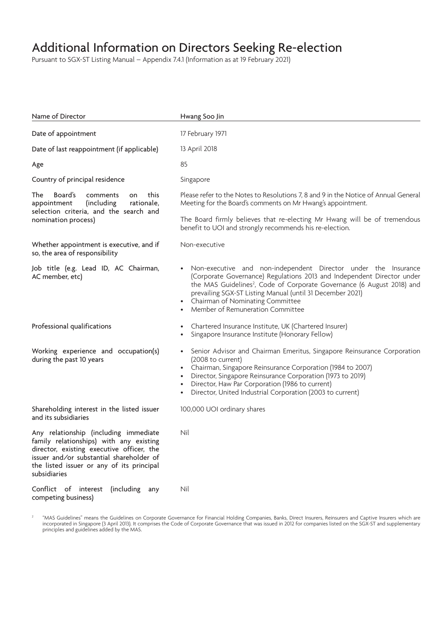Pursuant to SGX-ST Listing Manual – Appendix 7.4.1 (Information as at 19 February 2021)

| Name of Director                                                                                                                                                                                                                       | Hwang Soo Jin                                                                                                                                                                                                                                                                                                                                                                                |  |
|----------------------------------------------------------------------------------------------------------------------------------------------------------------------------------------------------------------------------------------|----------------------------------------------------------------------------------------------------------------------------------------------------------------------------------------------------------------------------------------------------------------------------------------------------------------------------------------------------------------------------------------------|--|
| Date of appointment                                                                                                                                                                                                                    | 17 February 1971                                                                                                                                                                                                                                                                                                                                                                             |  |
| Date of last reappointment (if applicable)                                                                                                                                                                                             | 13 April 2018<br>85<br>Singapore                                                                                                                                                                                                                                                                                                                                                             |  |
| Age                                                                                                                                                                                                                                    |                                                                                                                                                                                                                                                                                                                                                                                              |  |
| Country of principal residence                                                                                                                                                                                                         |                                                                                                                                                                                                                                                                                                                                                                                              |  |
| Board's<br>this<br>The<br>comments<br>on<br>rationale,<br>(including<br>appointment<br>selection criteria, and the search and<br>nomination process)                                                                                   | Please refer to the Notes to Resolutions 7, 8 and 9 in the Notice of Annual General<br>Meeting for the Board's comments on Mr Hwang's appointment.                                                                                                                                                                                                                                           |  |
|                                                                                                                                                                                                                                        | The Board firmly believes that re-electing Mr Hwang will be of tremendous<br>benefit to UOI and strongly recommends his re-election.                                                                                                                                                                                                                                                         |  |
| Whether appointment is executive, and if<br>so, the area of responsibility                                                                                                                                                             | Non-executive                                                                                                                                                                                                                                                                                                                                                                                |  |
| Job title (e.g. Lead ID, AC Chairman,<br>AC member, etc)                                                                                                                                                                               | Non-executive and non-independent Director under the Insurance<br>(Corporate Governance) Regulations 2013 and Independent Director under<br>the MAS Guidelines <sup>2</sup> , Code of Corporate Governance (6 August 2018) and<br>prevailing SGX-ST Listing Manual (until 31 December 2021)<br>Chairman of Nominating Committee<br>Member of Remuneration Committee<br>$\bullet$             |  |
| Professional qualifications                                                                                                                                                                                                            | Chartered Insurance Institute, UK (Chartered Insurer)<br>$\bullet$<br>Singapore Insurance Institute (Honorary Fellow)<br>$\bullet$                                                                                                                                                                                                                                                           |  |
| Working experience and occupation(s)<br>during the past 10 years                                                                                                                                                                       | Senior Advisor and Chairman Emeritus, Singapore Reinsurance Corporation<br>$\bullet$<br>(2008 to current)<br>Chairman, Singapore Reinsurance Corporation (1984 to 2007)<br>$\bullet$<br>Director, Singapore Reinsurance Corporation (1973 to 2019)<br>$\bullet$<br>Director, Haw Par Corporation (1986 to current)<br>Director, United Industrial Corporation (2003 to current)<br>$\bullet$ |  |
| Shareholding interest in the listed issuer<br>and its subsidiaries                                                                                                                                                                     | 100,000 UOI ordinary shares                                                                                                                                                                                                                                                                                                                                                                  |  |
| Any relationship (including immediate<br>family relationships) with any existing<br>director, existing executive officer, the<br>issuer and/or substantial shareholder of<br>the listed issuer or any of its principal<br>subsidiaries | Nil                                                                                                                                                                                                                                                                                                                                                                                          |  |
| Conflict of interest (including any<br>competing business)                                                                                                                                                                             | Nil                                                                                                                                                                                                                                                                                                                                                                                          |  |

 $2$  "MAS Guidelines" means the Guidelines on Corporate Governance for Financial Holding Companies, Banks, Direct Insurers, Reinsurers and Captive Insurers which are incorporated in Singapore (3 April 2013). It comprises the Code of Corporate Governance that was issued in 2012 for companies listed on the SGX-ST and supplementary principles and guidelines added by the MAS.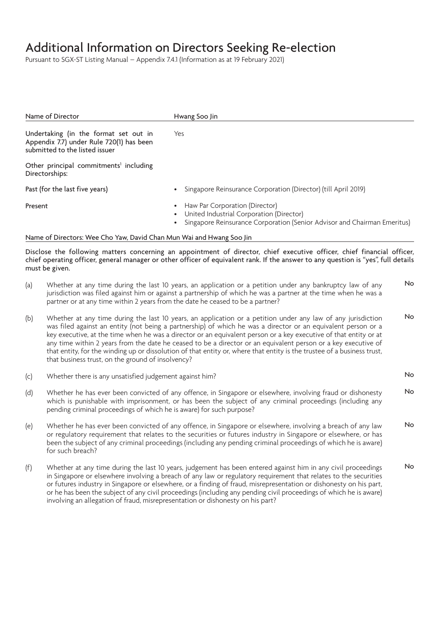Pursuant to SGX-ST Listing Manual – Appendix 7.4.1 (Information as at 19 February 2021)

| Name of Director                                                                                                    | Hwang Soo Jin                                                                                                                                          |  |
|---------------------------------------------------------------------------------------------------------------------|--------------------------------------------------------------------------------------------------------------------------------------------------------|--|
| Undertaking (in the format set out in<br>Appendix 7.7) under Rule 720(1) has been<br>submitted to the listed issuer | Yes                                                                                                                                                    |  |
| Other principal commitments <sup>1</sup> including<br>Directorships:                                                |                                                                                                                                                        |  |
| Past (for the last five years)                                                                                      | Singapore Reinsurance Corporation (Director) (till April 2019)                                                                                         |  |
| Present                                                                                                             | Haw Par Corporation (Director)<br>United Industrial Corporation (Director)<br>Singapore Reinsurance Corporation (Senior Advisor and Chairman Emeritus) |  |

#### Name of Directors: Wee Cho Yaw, David Chan Mun Wai and Hwang Soo Jin

Disclose the following matters concerning an appointment of director, chief executive officer, chief financial officer, chief operating officer, general manager or other officer of equivalent rank. If the answer to any question is "yes", full details must be given.

- (a) Whether at any time during the last 10 years, an application or a petition under any bankruptcy law of any jurisdiction was filed against him or against a partnership of which he was a partner at the time when he was a partner or at any time within 2 years from the date he ceased to be a partner? No
- (b) Whether at any time during the last 10 years, an application or a petition under any law of any jurisdiction was filed against an entity (not being a partnership) of which he was a director or an equivalent person or a key executive, at the time when he was a director or an equivalent person or a key executive of that entity or at any time within 2 years from the date he ceased to be a director or an equivalent person or a key executive of that entity, for the winding up or dissolution of that entity or, where that entity is the trustee of a business trust, that business trust, on the ground of insolvency? No
- (c) Whether there is any unsatisfied judgement against him?
- (d) Whether he has ever been convicted of any offence, in Singapore or elsewhere, involving fraud or dishonesty which is punishable with imprisonment, or has been the subject of any criminal proceedings (including any pending criminal proceedings of which he is aware) for such purpose? No
- (e) Whether he has ever been convicted of any offence, in Singapore or elsewhere, involving a breach of any law or regulatory requirement that relates to the securities or futures industry in Singapore or elsewhere, or has been the subject of any criminal proceedings (including any pending criminal proceedings of which he is aware) for such breach? No
- (f) Whether at any time during the last 10 years, judgement has been entered against him in any civil proceedings in Singapore or elsewhere involving a breach of any law or regulatory requirement that relates to the securities or futures industry in Singapore or elsewhere, or a finding of fraud, misrepresentation or dishonesty on his part, or he has been the subject of any civil proceedings (including any pending civil proceedings of which he is aware) involving an allegation of fraud, misrepresentation or dishonesty on his part? No